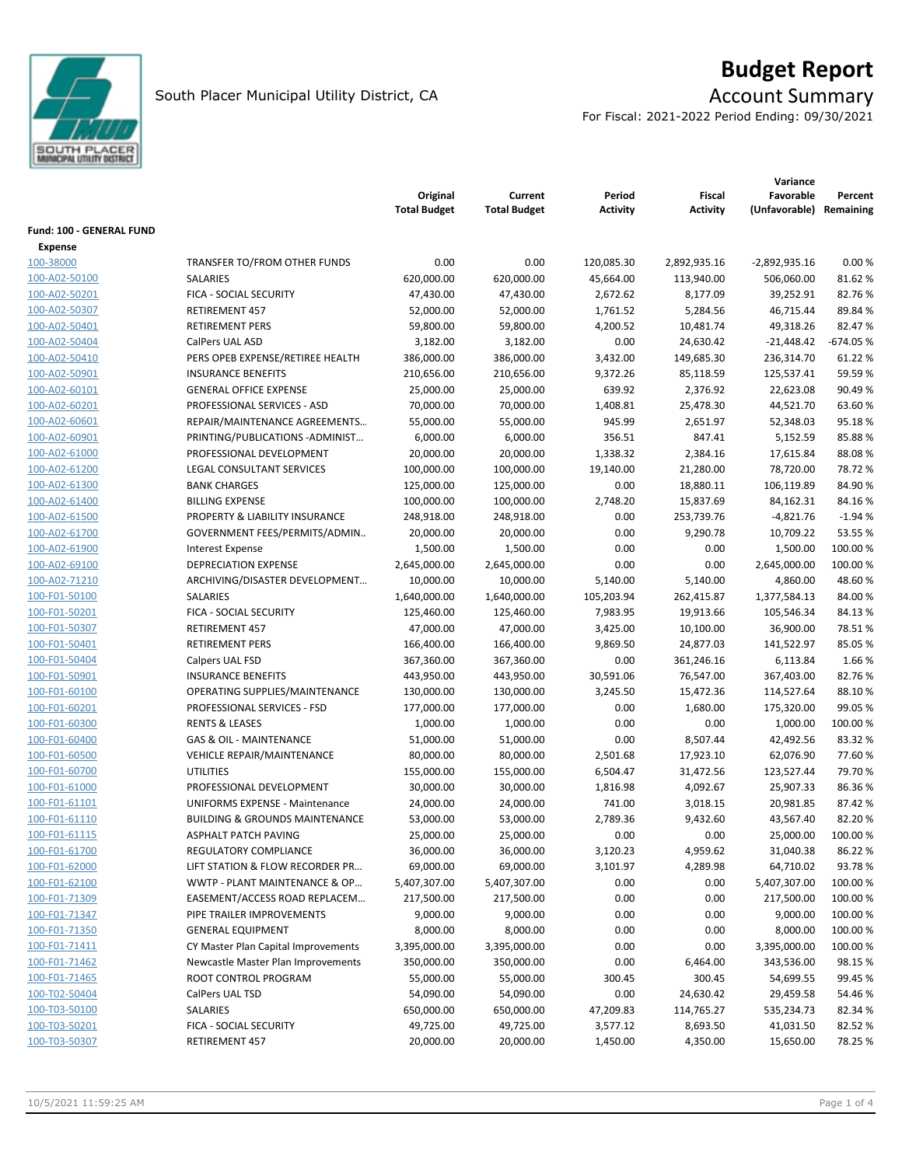

# **Budget Report**

For Fiscal: 2021-2022 Period Ending: 09/30/2021

|                                |                                                               | Original<br><b>Total Budget</b> | Current<br><b>Total Budget</b> | Period<br>Activity | Fiscal<br><b>Activity</b> | Variance<br>Favorable<br>(Unfavorable) Remaining | Percent          |
|--------------------------------|---------------------------------------------------------------|---------------------------------|--------------------------------|--------------------|---------------------------|--------------------------------------------------|------------------|
| Fund: 100 - GENERAL FUND       |                                                               |                                 |                                |                    |                           |                                                  |                  |
|                                |                                                               |                                 |                                |                    |                           |                                                  |                  |
| <b>Expense</b><br>100-38000    | TRANSFER TO/FROM OTHER FUNDS                                  | 0.00                            | 0.00                           | 120,085.30         | 2,892,935.16              | $-2,892,935.16$                                  | 0.00%            |
|                                | <b>SALARIES</b>                                               |                                 |                                |                    |                           |                                                  | 81.62%           |
| 100-A02-50100                  | FICA - SOCIAL SECURITY                                        | 620,000.00                      | 620,000.00                     | 45,664.00          | 113,940.00                | 506,060.00                                       |                  |
| 100-A02-50201                  | RETIREMENT 457                                                | 47,430.00                       | 47,430.00                      | 2,672.62           | 8,177.09                  | 39,252.91                                        | 82.76%           |
| 100-A02-50307                  |                                                               | 52,000.00                       | 52,000.00                      | 1,761.52           | 5,284.56<br>10,481.74     | 46,715.44                                        | 89.84 %          |
| 100-A02-50401                  | <b>RETIREMENT PERS</b><br>CalPers UAL ASD                     | 59,800.00                       | 59,800.00                      | 4,200.52<br>0.00   |                           | 49,318.26<br>$-21,448.42$                        | 82.47%           |
| 100-A02-50404                  |                                                               | 3,182.00                        | 3,182.00                       |                    | 24,630.42                 |                                                  | $-674.05%$       |
| 100-A02-50410<br>100-A02-50901 | PERS OPEB EXPENSE/RETIREE HEALTH<br><b>INSURANCE BENEFITS</b> | 386,000.00                      | 386,000.00                     | 3,432.00           | 149,685.30                | 236,314.70                                       | 61.22%<br>59.59% |
|                                |                                                               | 210,656.00                      | 210,656.00                     | 9,372.26           | 85,118.59                 | 125,537.41                                       |                  |
| 100-A02-60101                  | <b>GENERAL OFFICE EXPENSE</b>                                 | 25,000.00                       | 25,000.00                      | 639.92             | 2,376.92                  | 22,623.08                                        | 90.49%           |
| 100-A02-60201                  | PROFESSIONAL SERVICES - ASD                                   | 70,000.00                       | 70,000.00                      | 1,408.81<br>945.99 | 25,478.30                 | 44,521.70                                        | 63.60%           |
| 100-A02-60601                  | REPAIR/MAINTENANCE AGREEMENTS                                 | 55,000.00                       | 55,000.00                      | 356.51             | 2,651.97                  | 52,348.03                                        | 95.18%           |
| 100-A02-60901                  | PRINTING/PUBLICATIONS-ADMINIST                                | 6,000.00                        | 6,000.00                       |                    | 847.41                    | 5,152.59                                         | 85.88%           |
| 100-A02-61000                  | PROFESSIONAL DEVELOPMENT                                      | 20,000.00                       | 20,000.00                      | 1,338.32           | 2,384.16                  | 17,615.84                                        | 88.08%           |
| 100-A02-61200                  | LEGAL CONSULTANT SERVICES                                     | 100,000.00                      | 100,000.00                     | 19,140.00          | 21,280.00                 | 78,720.00                                        | 78.72%           |
| 100-A02-61300                  | <b>BANK CHARGES</b>                                           | 125,000.00                      | 125,000.00                     | 0.00               | 18,880.11                 | 106,119.89                                       | 84.90%           |
| 100-A02-61400                  | <b>BILLING EXPENSE</b><br>PROPERTY & LIABILITY INSURANCE      | 100,000.00                      | 100,000.00                     | 2,748.20           | 15,837.69                 | 84,162.31                                        | 84.16%           |
| 100-A02-61500                  |                                                               | 248,918.00                      | 248,918.00                     | 0.00               | 253,739.76                | $-4,821.76$                                      | $-1.94%$         |
| 100-A02-61700                  | GOVERNMENT FEES/PERMITS/ADMIN                                 | 20,000.00                       | 20,000.00                      | 0.00               | 9,290.78                  | 10,709.22                                        | 53.55 %          |
| 100-A02-61900                  | <b>Interest Expense</b>                                       | 1,500.00                        | 1,500.00                       | 0.00               | 0.00                      | 1,500.00                                         | 100.00 %         |
| 100-A02-69100                  | DEPRECIATION EXPENSE                                          | 2,645,000.00                    | 2,645,000.00                   | 0.00               | 0.00                      | 2,645,000.00                                     | 100.00 %         |
| 100-A02-71210                  | ARCHIVING/DISASTER DEVELOPMENT                                | 10,000.00                       | 10,000.00                      | 5,140.00           | 5,140.00                  | 4,860.00                                         | 48.60%           |
| 100-F01-50100                  | SALARIES                                                      | 1,640,000.00                    | 1,640,000.00                   | 105,203.94         | 262,415.87                | 1,377,584.13                                     | 84.00%           |
| 100-F01-50201                  | FICA - SOCIAL SECURITY                                        | 125,460.00                      | 125,460.00                     | 7,983.95           | 19,913.66                 | 105,546.34                                       | 84.13%           |
| 100-F01-50307                  | RETIREMENT 457                                                | 47,000.00                       | 47,000.00                      | 3,425.00           | 10,100.00                 | 36,900.00                                        | 78.51%           |
| 100-F01-50401                  | <b>RETIREMENT PERS</b>                                        | 166,400.00                      | 166,400.00                     | 9,869.50           | 24,877.03                 | 141,522.97                                       | 85.05%           |
| 100-F01-50404                  | Calpers UAL FSD                                               | 367,360.00                      | 367,360.00                     | 0.00               | 361,246.16                | 6,113.84                                         | 1.66%            |
| 100-F01-50901                  | <b>INSURANCE BENEFITS</b>                                     | 443,950.00                      | 443,950.00                     | 30,591.06          | 76,547.00                 | 367,403.00                                       | 82.76%           |
| 100-F01-60100                  | OPERATING SUPPLIES/MAINTENANCE                                | 130,000.00                      | 130,000.00                     | 3,245.50           | 15,472.36                 | 114,527.64                                       | 88.10%           |
| 100-F01-60201                  | PROFESSIONAL SERVICES - FSD                                   | 177,000.00                      | 177,000.00                     | 0.00               | 1,680.00                  | 175,320.00                                       | 99.05 %          |
| 100-F01-60300                  | <b>RENTS &amp; LEASES</b>                                     | 1,000.00                        | 1,000.00                       | 0.00               | 0.00                      | 1,000.00                                         | 100.00 %         |
| 100-F01-60400                  | <b>GAS &amp; OIL - MAINTENANCE</b>                            | 51,000.00                       | 51,000.00                      | 0.00               | 8,507.44                  | 42,492.56                                        | 83.32 %          |
| 100-F01-60500                  | <b>VEHICLE REPAIR/MAINTENANCE</b>                             | 80,000.00                       | 80,000.00                      | 2,501.68           | 17,923.10                 | 62,076.90                                        | 77.60%           |
| 100-F01-60700                  | <b>UTILITIES</b>                                              | 155,000.00                      | 155,000.00                     | 6,504.47           | 31,472.56                 | 123,527.44                                       | 79.70%           |
| 100-F01-61000                  | PROFESSIONAL DEVELOPMENT                                      | 30,000.00                       | 30,000.00                      | 1,816.98           | 4,092.67                  | 25,907.33                                        | 86.36%           |
| 100-F01-61101                  | UNIFORMS EXPENSE - Maintenance                                | 24,000.00                       | 24,000.00                      | 741.00             | 3,018.15                  | 20,981.85                                        | 87.42%           |
| 100-F01-61110                  | <b>BUILDING &amp; GROUNDS MAINTENANCE</b>                     | 53,000.00                       | 53,000.00                      | 2,789.36           | 9,432.60                  | 43,567.40                                        | 82.20%           |
| 100-F01-61115                  | ASPHALT PATCH PAVING                                          | 25,000.00                       | 25,000.00                      | 0.00               | 0.00                      | 25,000.00                                        | 100.00%          |
| 100-F01-61700                  | REGULATORY COMPLIANCE                                         | 36,000.00                       | 36,000.00                      | 3,120.23           | 4,959.62                  | 31,040.38                                        | 86.22%           |
| 100-F01-62000                  | LIFT STATION & FLOW RECORDER PR                               | 69,000.00                       | 69,000.00                      | 3,101.97           | 4,289.98                  | 64,710.02                                        | 93.78%           |
| 100-F01-62100                  | WWTP - PLANT MAINTENANCE & OP                                 | 5,407,307.00                    | 5,407,307.00                   | 0.00               | 0.00                      | 5,407,307.00                                     | 100.00 %         |
| 100-F01-71309                  | EASEMENT/ACCESS ROAD REPLACEM                                 | 217,500.00                      | 217,500.00                     | 0.00               | 0.00                      | 217,500.00                                       | 100.00 %         |
| 100-F01-71347                  | PIPE TRAILER IMPROVEMENTS                                     | 9,000.00                        | 9,000.00                       | 0.00               | 0.00                      | 9,000.00                                         | 100.00 %         |
| 100-F01-71350                  | <b>GENERAL EQUIPMENT</b>                                      | 8,000.00                        | 8,000.00                       | 0.00               | 0.00                      | 8,000.00                                         | 100.00 %         |
| 100-F01-71411                  | CY Master Plan Capital Improvements                           | 3,395,000.00                    | 3,395,000.00                   | 0.00               | 0.00                      | 3,395,000.00                                     | 100.00%          |
| 100-F01-71462                  | Newcastle Master Plan Improvements                            | 350,000.00                      | 350,000.00                     | 0.00               | 6,464.00                  | 343,536.00                                       | 98.15%           |
| 100-F01-71465                  | ROOT CONTROL PROGRAM                                          | 55,000.00                       | 55,000.00                      | 300.45             | 300.45                    | 54,699.55                                        | 99.45 %          |
| 100-T02-50404                  | CalPers UAL TSD                                               | 54,090.00                       | 54,090.00                      | 0.00               | 24,630.42                 | 29,459.58                                        | 54.46%           |
| 100-T03-50100                  | SALARIES                                                      | 650,000.00                      | 650,000.00                     | 47,209.83          | 114,765.27                | 535,234.73                                       | 82.34%           |
| 100-T03-50201                  | FICA - SOCIAL SECURITY                                        | 49,725.00                       | 49,725.00                      | 3,577.12           | 8,693.50                  | 41,031.50                                        | 82.52%           |
| 100-T03-50307                  | RETIREMENT 457                                                | 20,000.00                       | 20,000.00                      | 1,450.00           | 4,350.00                  | 15,650.00                                        | 78.25 %          |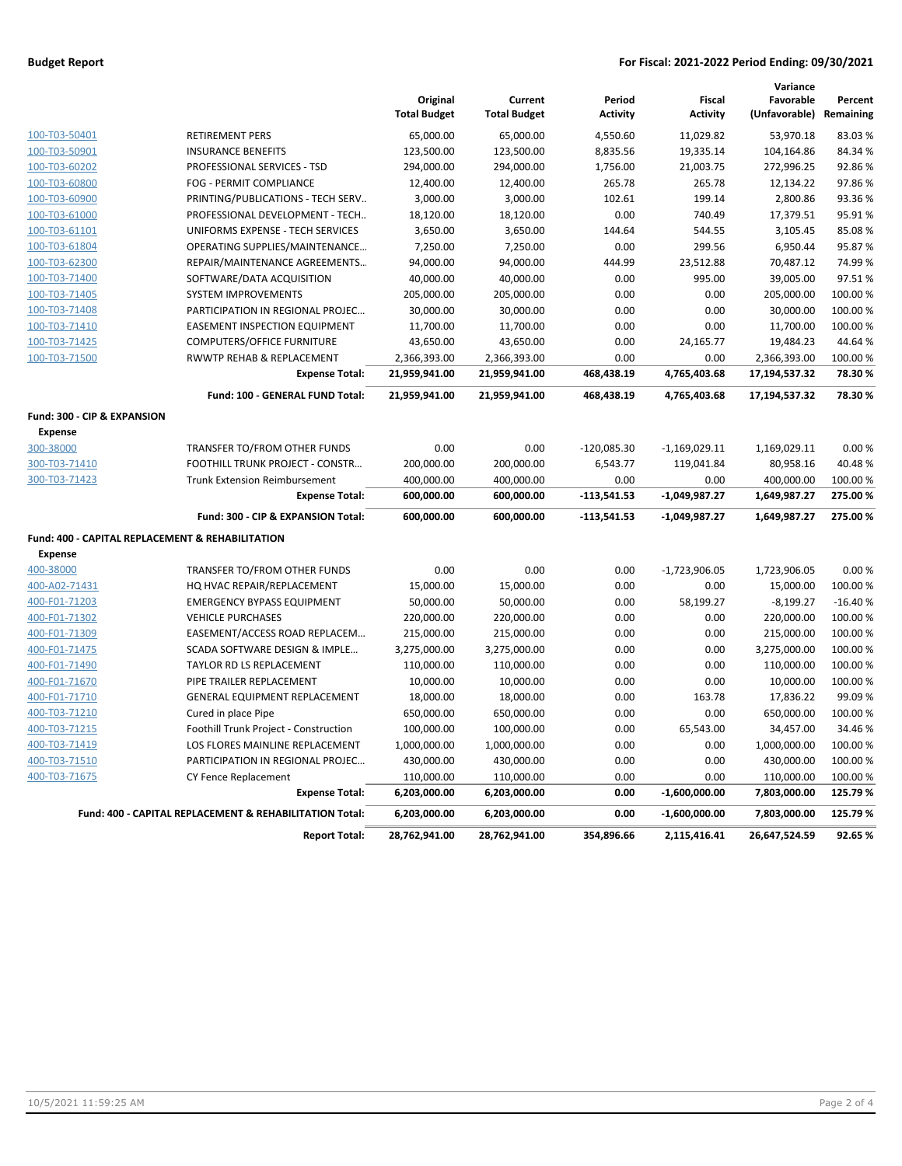### **Budget Report For Fiscal: 2021-2022 Period Ending: 09/30/2021**

|                                                  |                                                         | Original<br><b>Total Budget</b> | Current<br><b>Total Budget</b> | Period<br><b>Activity</b> | <b>Fiscal</b><br><b>Activity</b> | Variance<br>Favorable<br>(Unfavorable) | Percent<br>Remaining |
|--------------------------------------------------|---------------------------------------------------------|---------------------------------|--------------------------------|---------------------------|----------------------------------|----------------------------------------|----------------------|
| 100-T03-50401                                    | RETIREMENT PERS                                         | 65,000.00                       | 65,000.00                      | 4,550.60                  | 11,029.82                        | 53,970.18                              | 83.03%               |
| 100-T03-50901                                    | <b>INSURANCE BENEFITS</b>                               | 123,500.00                      | 123,500.00                     | 8,835.56                  | 19,335.14                        | 104,164.86                             | 84.34%               |
| 100-T03-60202                                    | PROFESSIONAL SERVICES - TSD                             | 294,000.00                      | 294,000.00                     | 1,756.00                  | 21,003.75                        | 272,996.25                             | 92.86%               |
| 100-T03-60800                                    | FOG - PERMIT COMPLIANCE                                 | 12,400.00                       | 12,400.00                      | 265.78                    | 265.78                           | 12,134.22                              | 97.86%               |
| 100-T03-60900                                    | PRINTING/PUBLICATIONS - TECH SERV                       | 3,000.00                        | 3,000.00                       | 102.61                    | 199.14                           | 2,800.86                               | 93.36%               |
| 100-T03-61000                                    | PROFESSIONAL DEVELOPMENT - TECH                         | 18,120.00                       | 18,120.00                      | 0.00                      | 740.49                           | 17,379.51                              | 95.91%               |
| 100-T03-61101                                    | UNIFORMS EXPENSE - TECH SERVICES                        | 3,650.00                        | 3,650.00                       | 144.64                    | 544.55                           | 3,105.45                               | 85.08%               |
| 100-T03-61804                                    | OPERATING SUPPLIES/MAINTENANCE                          | 7,250.00                        | 7,250.00                       | 0.00                      | 299.56                           | 6,950.44                               | 95.87%               |
| 100-T03-62300                                    | REPAIR/MAINTENANCE AGREEMENTS                           | 94,000.00                       | 94,000.00                      | 444.99                    | 23,512.88                        | 70,487.12                              | 74.99%               |
| 100-T03-71400                                    | SOFTWARE/DATA ACQUISITION                               | 40,000.00                       | 40,000.00                      | 0.00                      | 995.00                           | 39,005.00                              | 97.51%               |
| 100-T03-71405                                    | <b>SYSTEM IMPROVEMENTS</b>                              | 205,000.00                      | 205,000.00                     | 0.00                      | 0.00                             | 205,000.00                             | 100.00 %             |
| 100-T03-71408                                    | PARTICIPATION IN REGIONAL PROJEC                        | 30,000.00                       | 30,000.00                      | 0.00                      | 0.00                             | 30,000.00                              | 100.00%              |
| 100-T03-71410                                    | <b>EASEMENT INSPECTION EQUIPMENT</b>                    | 11,700.00                       | 11,700.00                      | 0.00                      | 0.00                             | 11,700.00                              | 100.00%              |
| 100-T03-71425                                    | <b>COMPUTERS/OFFICE FURNITURE</b>                       | 43,650.00                       | 43,650.00                      | 0.00                      | 24,165.77                        | 19,484.23                              | 44.64%               |
| 100-T03-71500                                    | RWWTP REHAB & REPLACEMENT                               | 2,366,393.00                    | 2,366,393.00                   | 0.00                      | 0.00                             | 2,366,393.00                           | 100.00%              |
|                                                  | <b>Expense Total:</b>                                   | 21,959,941.00                   | 21,959,941.00                  | 468,438.19                | 4,765,403.68                     | 17,194,537.32                          | 78.30%               |
|                                                  | Fund: 100 - GENERAL FUND Total:                         | 21,959,941.00                   | 21,959,941.00                  | 468,438.19                | 4,765,403.68                     | 17,194,537.32                          | 78.30%               |
| Fund: 300 - CIP & EXPANSION                      |                                                         |                                 |                                |                           |                                  |                                        |                      |
| <b>Expense</b>                                   |                                                         |                                 |                                |                           |                                  |                                        |                      |
| 300-38000                                        | TRANSFER TO/FROM OTHER FUNDS                            | 0.00                            | 0.00                           | $-120,085.30$             | $-1,169,029.11$                  | 1,169,029.11                           | 0.00%                |
| 300-T03-71410                                    | FOOTHILL TRUNK PROJECT - CONSTR                         | 200,000.00                      | 200,000.00                     | 6,543.77                  | 119,041.84                       | 80,958.16                              | 40.48%               |
| 300-T03-71423                                    | <b>Trunk Extension Reimbursement</b>                    | 400,000.00                      | 400,000.00                     | 0.00                      | 0.00                             | 400,000.00                             | 100.00 %             |
|                                                  | <b>Expense Total:</b>                                   | 600,000.00                      | 600,000.00                     | $-113,541.53$             | $-1,049,987.27$                  | 1,649,987.27                           | 275.00%              |
|                                                  | Fund: 300 - CIP & EXPANSION Total:                      | 600,000.00                      | 600,000.00                     | $-113,541.53$             | $-1,049,987.27$                  | 1,649,987.27                           | 275.00%              |
| Fund: 400 - CAPITAL REPLACEMENT & REHABILITATION |                                                         |                                 |                                |                           |                                  |                                        |                      |
| <b>Expense</b>                                   |                                                         |                                 |                                |                           |                                  |                                        |                      |
| 400-38000                                        | TRANSFER TO/FROM OTHER FUNDS                            | 0.00                            | 0.00                           | 0.00                      | $-1,723,906.05$                  | 1,723,906.05                           | 0.00%                |
| 400-A02-71431                                    | HQ HVAC REPAIR/REPLACEMENT                              | 15,000.00                       | 15,000.00                      | 0.00                      | 0.00                             | 15,000.00                              | 100.00%              |
| 400-F01-71203                                    | <b>EMERGENCY BYPASS EQUIPMENT</b>                       | 50,000.00                       | 50,000.00                      | 0.00                      | 58,199.27                        | $-8,199.27$                            | $-16.40%$            |
| 400-F01-71302                                    | <b>VEHICLE PURCHASES</b>                                | 220,000.00                      | 220,000.00                     | 0.00                      | 0.00                             | 220,000.00                             | 100.00 %             |
| 400-F01-71309                                    | EASEMENT/ACCESS ROAD REPLACEM                           | 215,000.00                      | 215,000.00                     | 0.00                      | 0.00                             | 215,000.00                             | 100.00 %             |
| 400-F01-71475                                    | SCADA SOFTWARE DESIGN & IMPLE                           | 3,275,000.00                    | 3,275,000.00                   | 0.00                      | 0.00                             | 3,275,000.00                           | 100.00 %             |
| 400-F01-71490                                    | TAYLOR RD LS REPLACEMENT                                | 110,000.00                      | 110,000.00                     | 0.00                      | 0.00                             | 110,000.00                             | 100.00%              |
| 400-F01-71670                                    | PIPE TRAILER REPLACEMENT                                | 10,000.00                       | 10,000.00                      | 0.00                      | 0.00                             | 10,000.00                              | 100.00%              |
| 400-F01-71710                                    | <b>GENERAL EQUIPMENT REPLACEMENT</b>                    | 18,000.00                       | 18,000.00                      | 0.00                      | 163.78                           | 17,836.22                              | 99.09%               |
| 400-T03-71210                                    | Cured in place Pipe                                     | 650,000.00                      | 650,000.00                     | 0.00                      | 0.00                             | 650,000.00                             | 100.00 %             |
| 400-T03-71215                                    | Foothill Trunk Project - Construction                   | 100,000.00                      | 100,000.00                     | 0.00                      | 65,543.00                        | 34,457.00                              | 34.46%               |
| 400-T03-71419                                    | LOS FLORES MAINLINE REPLACEMENT                         | 1,000,000.00                    | 1,000,000.00                   | 0.00                      | 0.00                             | 1,000,000.00                           | 100.00%              |
| 400-T03-71510                                    | PARTICIPATION IN REGIONAL PROJEC                        | 430,000.00                      | 430,000.00                     | 0.00                      | 0.00                             | 430,000.00                             | 100.00%              |
| 400-T03-71675                                    | CY Fence Replacement                                    | 110,000.00                      | 110,000.00                     | 0.00                      | 0.00                             | 110,000.00                             | 100.00 %             |
|                                                  | <b>Expense Total:</b>                                   | 6,203,000.00                    | 6,203,000.00                   | 0.00                      | $-1,600,000.00$                  | 7,803,000.00                           | 125.79%              |
|                                                  | Fund: 400 - CAPITAL REPLACEMENT & REHABILITATION Total: | 6,203,000.00                    | 6,203,000.00                   | 0.00                      | $-1,600,000.00$                  | 7,803,000.00                           | 125.79%              |
|                                                  | <b>Report Total:</b>                                    | 28,762,941.00                   | 28,762,941.00                  | 354,896.66                | 2,115,416.41                     | 26,647,524.59                          | 92.65%               |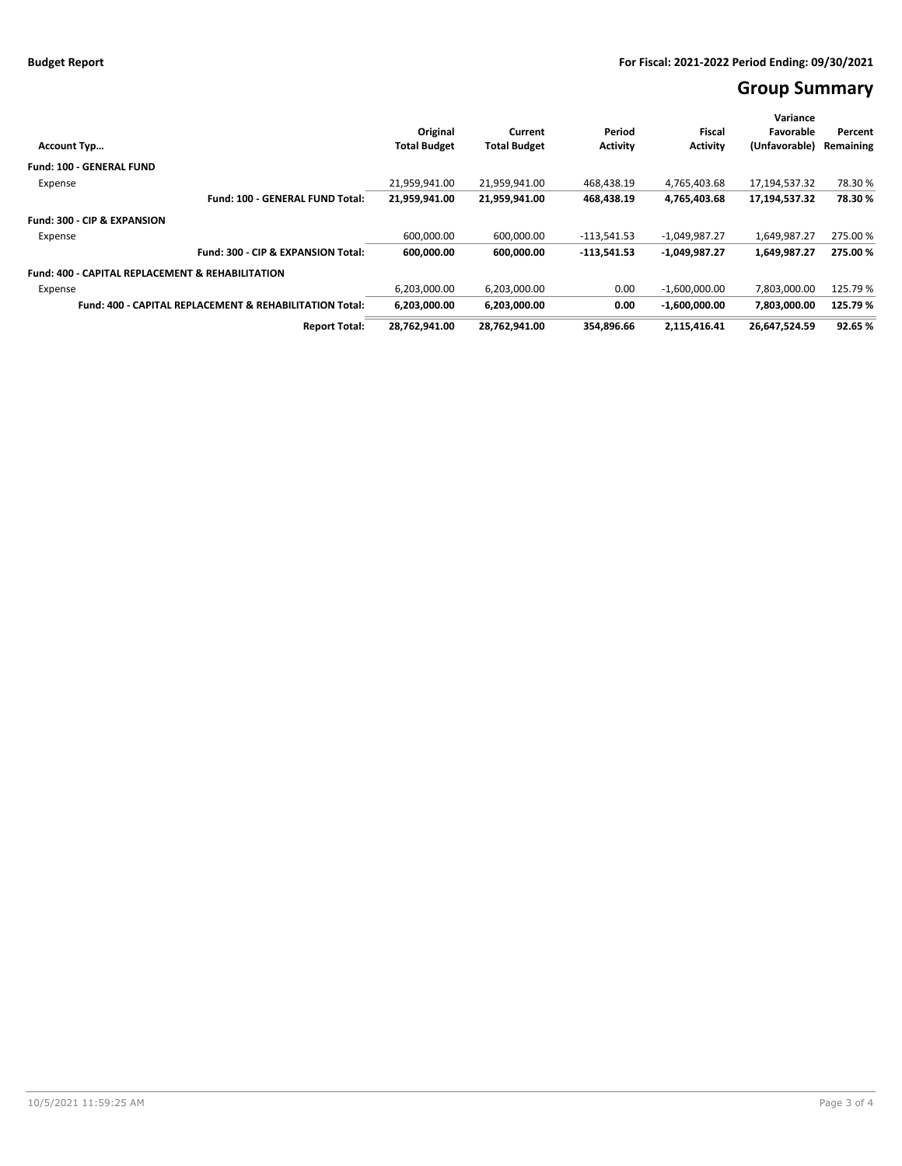## **Group Summary**

|                                                                    |                     |                     |                 |                 | Variance      |           |
|--------------------------------------------------------------------|---------------------|---------------------|-----------------|-----------------|---------------|-----------|
|                                                                    | Original            | Current             | Period          | Fiscal          | Favorable     | Percent   |
| <b>Account Typ</b>                                                 | <b>Total Budget</b> | <b>Total Budget</b> | <b>Activity</b> | <b>Activity</b> | (Unfavorable) | Remaining |
| <b>Fund: 100 - GENERAL FUND</b>                                    |                     |                     |                 |                 |               |           |
| Expense                                                            | 21,959,941.00       | 21,959,941.00       | 468,438.19      | 4.765.403.68    | 17.194.537.32 | 78.30 %   |
| Fund: 100 - GENERAL FUND Total:                                    | 21,959,941.00       | 21,959,941.00       | 468,438.19      | 4,765,403.68    | 17,194,537.32 | 78.30%    |
| Fund: 300 - CIP & EXPANSION                                        |                     |                     |                 |                 |               |           |
| Expense                                                            | 600,000.00          | 600,000.00          | $-113,541.53$   | $-1,049,987.27$ | 1,649,987.27  | 275.00 %  |
| Fund: 300 - CIP & EXPANSION Total:                                 | 600,000.00          | 600.000.00          | $-113,541.53$   | $-1,049,987.27$ | 1,649,987.27  | 275.00 %  |
| <b>Fund: 400 - CAPITAL REPLACEMENT &amp; REHABILITATION</b>        |                     |                     |                 |                 |               |           |
| Expense                                                            | 6,203,000.00        | 6,203,000.00        | 0.00            | $-1,600,000.00$ | 7,803,000.00  | 125.79%   |
| <b>Fund: 400 - CAPITAL REPLACEMENT &amp; REHABILITATION Total:</b> | 6,203,000.00        | 6,203,000.00        | 0.00            | $-1,600,000.00$ | 7,803,000.00  | 125.79%   |
| <b>Report Total:</b>                                               | 28,762,941.00       | 28,762,941.00       | 354.896.66      | 2,115,416.41    | 26,647,524.59 | 92.65 %   |
|                                                                    |                     |                     |                 |                 |               |           |